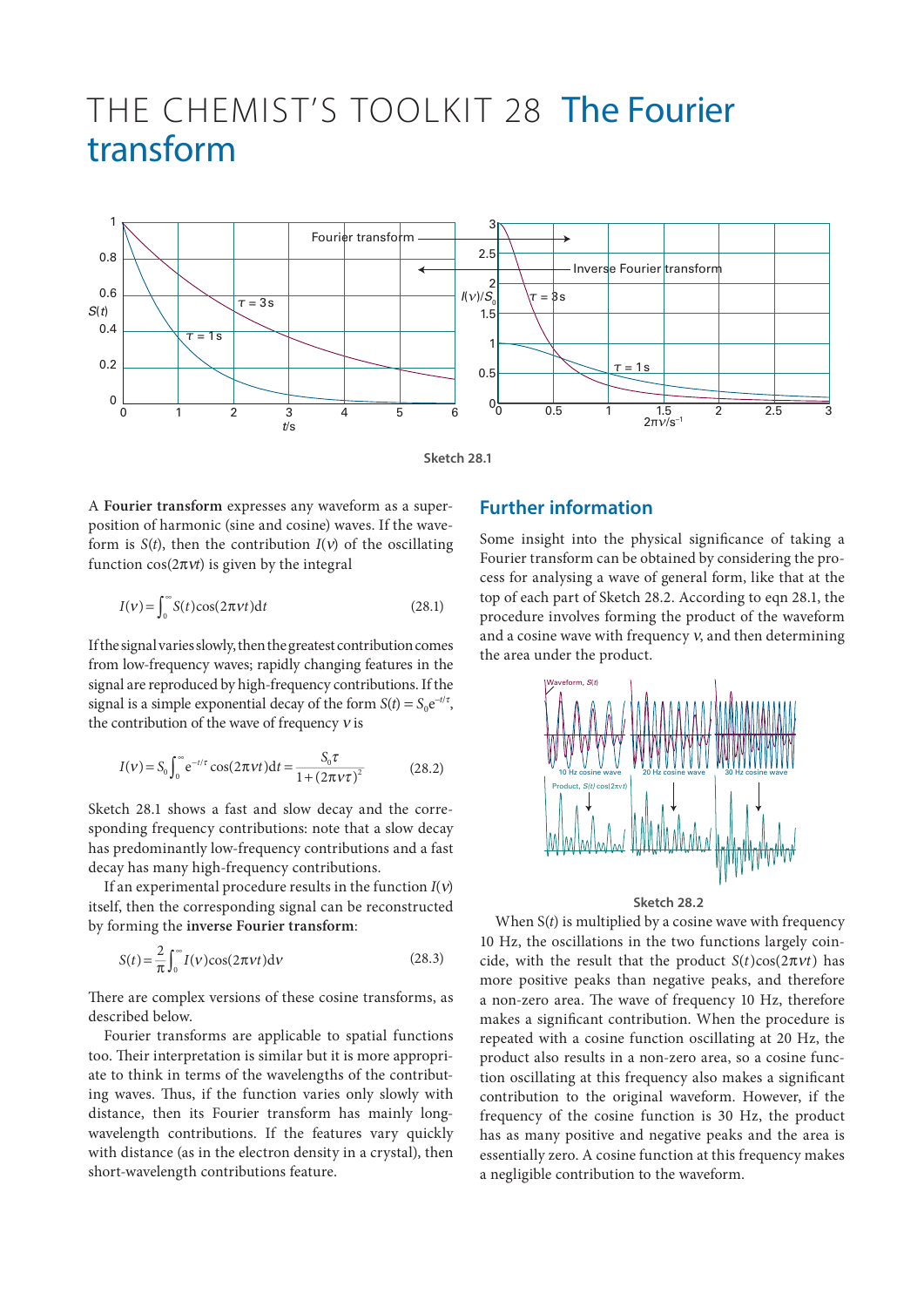## THE CHEMIST'S TOOLKIT 28 The Fourier transform



**Sketch 28.1**

A **Fourier transform** expresses any waveform as a superposition of harmonic (sine and cosine) waves. If the waveform is *S*(*t*), then the contribution *I*(ν) of the oscillating function  $cos(2\pi vt)$  is given by the integral

$$
I(v) = \int_0^\infty S(t)\cos(2\pi vt)dt
$$
 (28.1)

If the signal varies slowly, then the greatest contribution comes from low-frequency waves; rapidly changing features in the signal are reproduced by high-frequency contributions. If the signal is a simple exponential decay of the form  $S(t) = S_0 e^{-t/\tau}$ , the contribution of the wave of frequency  $v$  is

$$
I(v) = S_0 \int_0^{\infty} e^{-t/\tau} \cos(2\pi vt) dt = \frac{S_0 \tau}{1 + (2\pi v \tau)^2}
$$
(28.2)

Sketch 28.1 shows a fast and slow decay and the corresponding frequency contributions: note that a slow decay has predominantly low-frequency contributions and a fast decay has many high-frequency contributions.

If an experimental procedure results in the function *I*(ν) itself, then the corresponding signal can be reconstructed by forming the **inverse Fourier transform**:

$$
S(t) = \frac{2}{\pi} \int_0^\infty I(v) \cos(2\pi vt) \mathrm{d}v \tag{28.3}
$$

There are complex versions of these cosine transforms, as described below.

Fourier transforms are applicable to spatial functions too. Their interpretation is similar but it is more appropriate to think in terms of the wavelengths of the contributing waves. Thus, if the function varies only slowly with distance, then its Fourier transform has mainly longwavelength contributions. If the features vary quickly with distance (as in the electron density in a crystal), then short-wavelength contributions feature.

## **Further information**

Some insight into the physical significance of taking a Fourier transform can be obtained by considering the process for analysing a wave of general form, like that at the top of each part of Sketch 28.2. According to eqn 28.1, the procedure involves forming the product of the waveform and a cosine wave with frequency ν, and then determining the area under the product.



**Sketch 28.2**

When S(*t*) is multiplied by a cosine wave with frequency 10 Hz, the oscillations in the two functions largely coincide, with the result that the product  $S(t) \cos(2\pi vt)$  has more positive peaks than negative peaks, and therefore a non-zero area. The wave of frequency 10 Hz, therefore makes a significant contribution. When the procedure is repeated with a cosine function oscillating at 20 Hz, the product also results in a non-zero area, so a cosine function oscillating at this frequency also makes a significant contribution to the original waveform. However, if the frequency of the cosine function is 30 Hz, the product has as many positive and negative peaks and the area is essentially zero. A cosine function at this frequency makes a negligible contribution to the waveform.